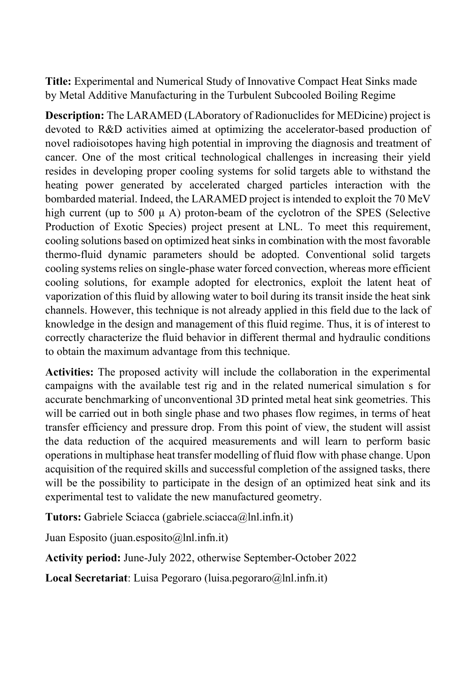**Title:** Experimental and Numerical Study of Innovative Compact Heat Sinks made by Metal Additive Manufacturing in the Turbulent Subcooled Boiling Regime

**Description:** The LARAMED (LAboratory of Radionuclides for MEDicine) project is devoted to R&D activities aimed at optimizing the accelerator-based production of novel radioisotopes having high potential in improving the diagnosis and treatment of cancer. One of the most critical technological challenges in increasing their yield resides in developing proper cooling systems for solid targets able to withstand the heating power generated by accelerated charged particles interaction with the bombarded material. Indeed, the LARAMED project is intended to exploit the 70 MeV high current (up to 500  $\mu$  A) proton-beam of the cyclotron of the SPES (Selective Production of Exotic Species) project present at LNL. To meet this requirement, cooling solutions based on optimized heat sinks in combination with the most favorable thermo-fluid dynamic parameters should be adopted. Conventional solid targets cooling systems relies on single-phase water forced convection, whereas more efficient cooling solutions, for example adopted for electronics, exploit the latent heat of vaporization of this fluid by allowing water to boil during its transit inside the heat sink channels. However, this technique is not already applied in this field due to the lack of knowledge in the design and management of this fluid regime. Thus, it is of interest to correctly characterize the fluid behavior in different thermal and hydraulic conditions to obtain the maximum advantage from this technique.

**Activities:** The proposed activity will include the collaboration in the experimental campaigns with the available test rig and in the related numerical simulation s for accurate benchmarking of unconventional 3D printed metal heat sink geometries. This will be carried out in both single phase and two phases flow regimes, in terms of heat transfer efficiency and pressure drop. From this point of view, the student will assist the data reduction of the acquired measurements and will learn to perform basic operations in multiphase heat transfer modelling of fluid flow with phase change. Upon acquisition of the required skills and successful completion of the assigned tasks, there will be the possibility to participate in the design of an optimized heat sink and its experimental test to validate the new manufactured geometry.

**Tutors:** Gabriele Sciacca (gabriele.sciacca@lnl.infn.it)

Juan Esposito (juan.esposito $(a)$ lnl.infn.it)

**Activity period:** June-July 2022, otherwise September-October 2022

**Local Secretariat**: Luisa Pegoraro (luisa.pegoraro@lnl.infn.it)